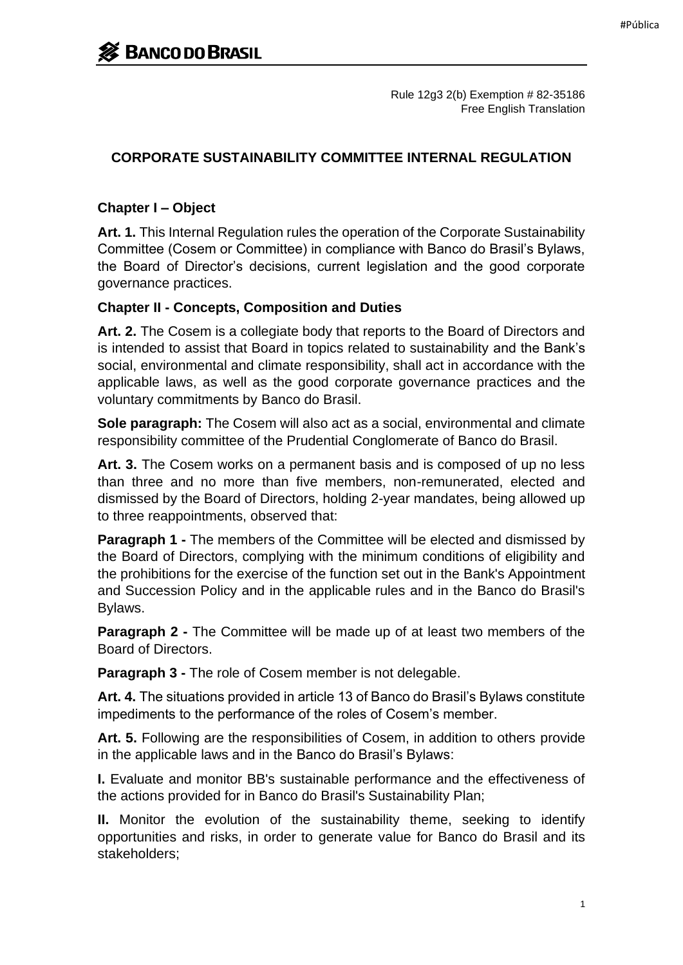Rule 12g3 2(b) Exemption # 82-35186 Free English Translation

### **CORPORATE SUSTAINABILITY COMMITTEE INTERNAL REGULATION**

### **Chapter I – Object**

**Art. 1.** This Internal Regulation rules the operation of the Corporate Sustainability Committee (Cosem or Committee) in compliance with Banco do Brasil's Bylaws, the Board of Director's decisions, current legislation and the good corporate governance practices.

#### **Chapter II - Concepts, Composition and Duties**

**Art. 2.** The Cosem is a collegiate body that reports to the Board of Directors and is intended to assist that Board in topics related to sustainability and the Bank's social, environmental and climate responsibility, shall act in accordance with the applicable laws, as well as the good corporate governance practices and the voluntary commitments by Banco do Brasil.

**Sole paragraph:** The Cosem will also act as a social, environmental and climate responsibility committee of the Prudential Conglomerate of Banco do Brasil.

**Art. 3.** The Cosem works on a permanent basis and is composed of up no less than three and no more than five members, non-remunerated, elected and dismissed by the Board of Directors, holding 2-year mandates, being allowed up to three reappointments, observed that:

**Paragraph 1 -** The members of the Committee will be elected and dismissed by the Board of Directors, complying with the minimum conditions of eligibility and the prohibitions for the exercise of the function set out in the Bank's Appointment and Succession Policy and in the applicable rules and in the Banco do Brasil's Bylaws.

**Paragraph 2 -** The Committee will be made up of at least two members of the Board of Directors.

**Paragraph 3 -** The role of Cosem member is not delegable.

**Art. 4.** The situations provided in article 13 of Banco do Brasil's Bylaws constitute impediments to the performance of the roles of Cosem's member.

**Art. 5.** Following are the responsibilities of Cosem, in addition to others provide in the applicable laws and in the Banco do Brasil's Bylaws:

**I.** Evaluate and monitor BB's sustainable performance and the effectiveness of the actions provided for in Banco do Brasil's Sustainability Plan;

**II.** Monitor the evolution of the sustainability theme, seeking to identify opportunities and risks, in order to generate value for Banco do Brasil and its stakeholders;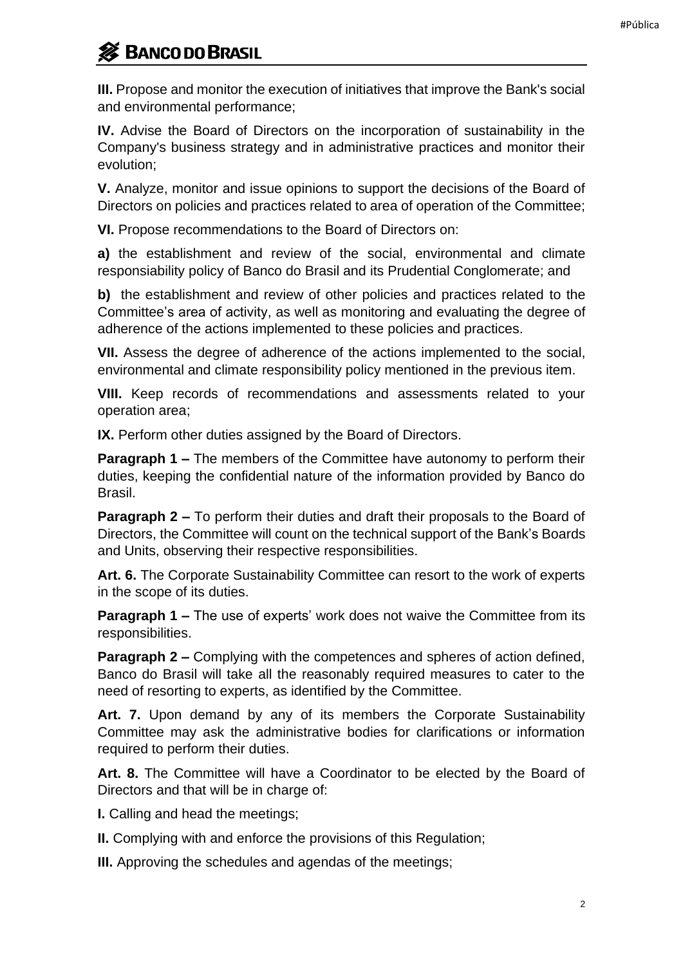# **S** BANCO DO BRASIL

**III.** Propose and monitor the execution of initiatives that improve the Bank's social and environmental performance;

**IV.** Advise the Board of Directors on the incorporation of sustainability in the Company's business strategy and in administrative practices and monitor their evolution;

**V.** Analyze, monitor and issue opinions to support the decisions of the Board of Directors on policies and practices related to area of operation of the Committee;

**VI.** Propose recommendations to the Board of Directors on:

**a)** the establishment and review of the social, environmental and climate responsiability policy of Banco do Brasil and its Prudential Conglomerate; and

**b)** the establishment and review of other policies and practices related to the Committee's area of activity, as well as monitoring and evaluating the degree of adherence of the actions implemented to these policies and practices.

**VII.** Assess the degree of adherence of the actions implemented to the social, environmental and climate responsibility policy mentioned in the previous item.

**VIII.** Keep records of recommendations and assessments related to your operation area;

**IX.** Perform other duties assigned by the Board of Directors.

**Paragraph 1 –** The members of the Committee have autonomy to perform their duties, keeping the confidential nature of the information provided by Banco do Brasil.

**Paragraph 2 –** To perform their duties and draft their proposals to the Board of Directors, the Committee will count on the technical support of the Bank's Boards and Units, observing their respective responsibilities.

**Art. 6.** The Corporate Sustainability Committee can resort to the work of experts in the scope of its duties.

**Paragraph 1 –** The use of experts' work does not waive the Committee from its responsibilities.

**Paragraph 2 –** Complying with the competences and spheres of action defined, Banco do Brasil will take all the reasonably required measures to cater to the need of resorting to experts, as identified by the Committee.

**Art. 7.** Upon demand by any of its members the Corporate Sustainability Committee may ask the administrative bodies for clarifications or information required to perform their duties.

**Art. 8.** The Committee will have a Coordinator to be elected by the Board of Directors and that will be in charge of:

**I.** Calling and head the meetings;

**II.** Complying with and enforce the provisions of this Regulation;

**III.** Approving the schedules and agendas of the meetings;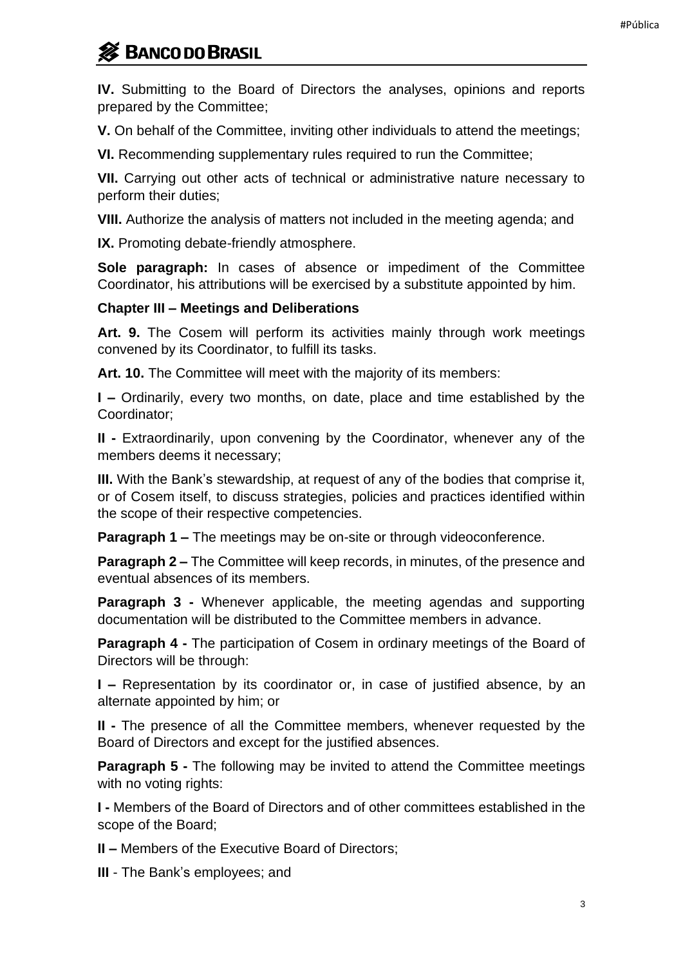## **S** BANCO DO BRASIL

**IV.** Submitting to the Board of Directors the analyses, opinions and reports prepared by the Committee;

**V.** On behalf of the Committee, inviting other individuals to attend the meetings;

**VI.** Recommending supplementary rules required to run the Committee;

**VII.** Carrying out other acts of technical or administrative nature necessary to perform their duties;

**VIII.** Authorize the analysis of matters not included in the meeting agenda; and

**IX.** Promoting debate-friendly atmosphere.

**Sole paragraph:** In cases of absence or impediment of the Committee Coordinator, his attributions will be exercised by a substitute appointed by him.

#### **Chapter III – Meetings and Deliberations**

**Art. 9.** The Cosem will perform its activities mainly through work meetings convened by its Coordinator, to fulfill its tasks.

**Art. 10.** The Committee will meet with the majority of its members:

**I –** Ordinarily, every two months, on date, place and time established by the Coordinator;

**II -** Extraordinarily, upon convening by the Coordinator, whenever any of the members deems it necessary;

**III.** With the Bank's stewardship, at request of any of the bodies that comprise it, or of Cosem itself, to discuss strategies, policies and practices identified within the scope of their respective competencies.

**Paragraph 1 –** The meetings may be on-site or through videoconference.

**Paragraph 2 –** The Committee will keep records, in minutes, of the presence and eventual absences of its members.

**Paragraph 3 -** Whenever applicable, the meeting agendas and supporting documentation will be distributed to the Committee members in advance.

**Paragraph 4 -** The participation of Cosem in ordinary meetings of the Board of Directors will be through:

**I –** Representation by its coordinator or, in case of justified absence, by an alternate appointed by him; or

**II -** The presence of all the Committee members, whenever requested by the Board of Directors and except for the justified absences.

**Paragraph 5 -** The following may be invited to attend the Committee meetings with no voting rights:

**I -** Members of the Board of Directors and of other committees established in the scope of the Board;

**II –** Members of the Executive Board of Directors;

**III** - The Bank's employees; and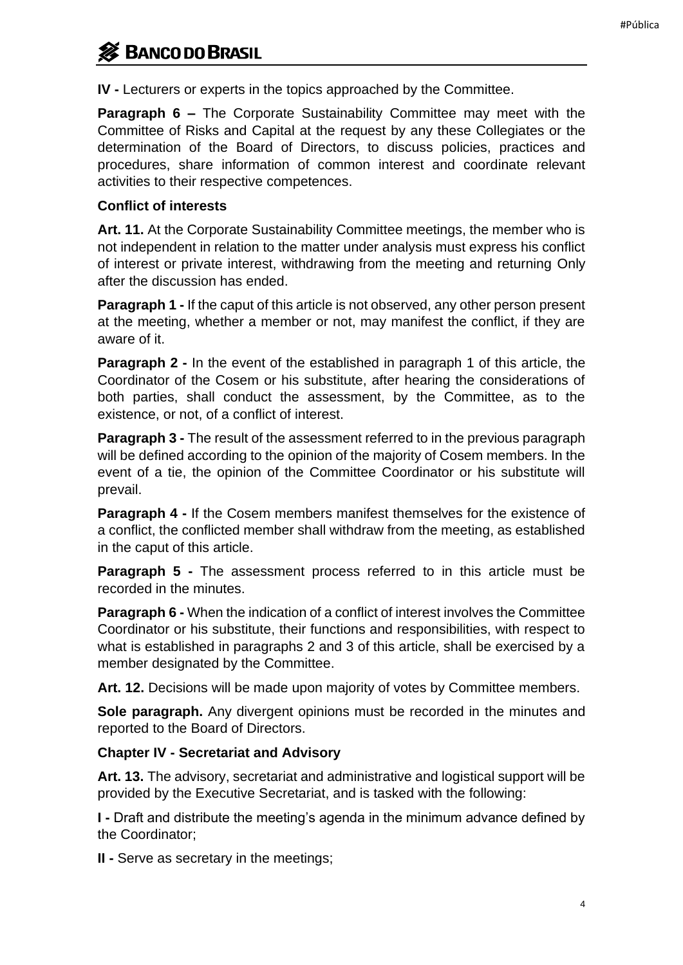### **SEX BANCO DO BRASIL**

**IV -** Lecturers or experts in the topics approached by the Committee.

**Paragraph 6 –** The Corporate Sustainability Committee may meet with the Committee of Risks and Capital at the request by any these Collegiates or the determination of the Board of Directors, to discuss policies, practices and procedures, share information of common interest and coordinate relevant activities to their respective competences.

#### **Conflict of interests**

**Art. 11.** At the Corporate Sustainability Committee meetings, the member who is not independent in relation to the matter under analysis must express his conflict of interest or private interest, withdrawing from the meeting and returning Only after the discussion has ended.

**Paragraph 1 -** If the caput of this article is not observed, any other person present at the meeting, whether a member or not, may manifest the conflict, if they are aware of it.

**Paragraph 2 -** In the event of the established in paragraph 1 of this article, the Coordinator of the Cosem or his substitute, after hearing the considerations of both parties, shall conduct the assessment, by the Committee, as to the existence, or not, of a conflict of interest.

**Paragraph 3 -** The result of the assessment referred to in the previous paragraph will be defined according to the opinion of the majority of Cosem members. In the event of a tie, the opinion of the Committee Coordinator or his substitute will prevail.

**Paragraph 4 -** If the Cosem members manifest themselves for the existence of a conflict, the conflicted member shall withdraw from the meeting, as established in the caput of this article.

**Paragraph 5 -** The assessment process referred to in this article must be recorded in the minutes.

**Paragraph 6 -** When the indication of a conflict of interest involves the Committee Coordinator or his substitute, their functions and responsibilities, with respect to what is established in paragraphs 2 and 3 of this article, shall be exercised by a member designated by the Committee.

**Art. 12.** Decisions will be made upon majority of votes by Committee members.

**Sole paragraph.** Any divergent opinions must be recorded in the minutes and reported to the Board of Directors.

### **Chapter IV - Secretariat and Advisory**

**Art. 13.** The advisory, secretariat and administrative and logistical support will be provided by the Executive Secretariat, and is tasked with the following:

**I -** Draft and distribute the meeting's agenda in the minimum advance defined by the Coordinator;

**II -** Serve as secretary in the meetings;